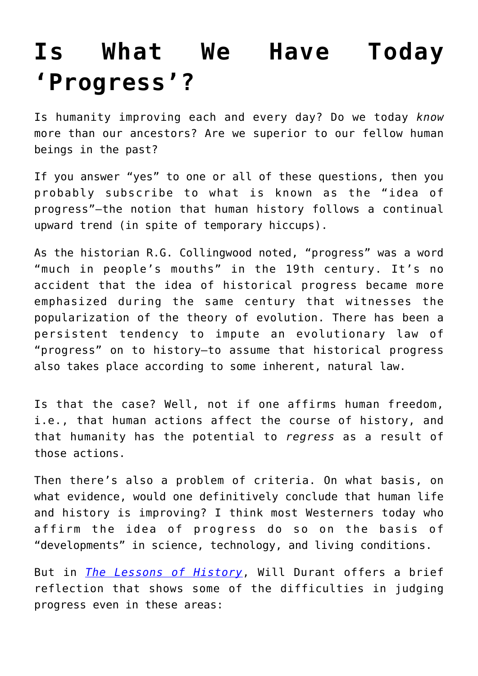## **[Is What We Have Today](https://intellectualtakeout.org/2016/02/is-what-we-have-today-progress/) ['Progress'?](https://intellectualtakeout.org/2016/02/is-what-we-have-today-progress/)**

Is humanity improving each and every day? Do we today *know* more than our ancestors? Are we superior to our fellow human beings in the past?

If you answer "yes" to one or all of these questions, then you probably subscribe to what is known as the "idea of progress"—the notion that human history follows a continual upward trend (in spite of temporary hiccups).

As the historian R.G. Collingwood noted, "progress" was a word "much in people's mouths" in the 19th century. It's no accident that the idea of historical progress became more emphasized during the same century that witnesses the popularization of the theory of evolution. There has been a persistent tendency to impute an evolutionary law of "progress" on to history—to assume that historical progress also takes place according to some inherent, natural law.

Is that the case? Well, not if one affirms human freedom, i.e., that human actions affect the course of history, and that humanity has the potential to *regress* as a result of those actions.

Then there's also a problem of criteria. On what basis, on what evidence, would one definitively conclude that human life and history is improving? I think most Westerners today who affirm the idea of progress do so on the basis of "developments" in science, technology, and living conditions.

But in *[The Lessons of History](http://amzn.to/23JxV0C)*, Will Durant offers a brief reflection that shows some of the difficulties in judging progress even in these areas: